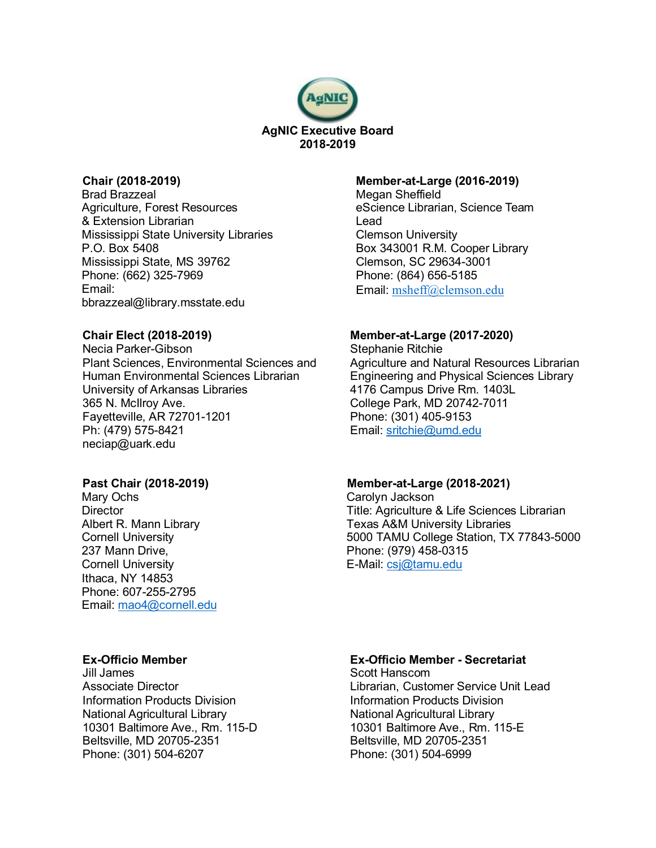

# **Chair (2018-2019)**

Brad Brazzeal Agriculture, Forest Resources & Extension Librarian Mississippi State University Libraries P.O. Box 5408 Mississippi State, MS 39762 Phone: (662) 325-7969 Email: bbrazzeal@library.msstate.edu

## **Chair Elect (2018-2019)**

Necia Parker-Gibson Plant Sciences, Environmental Sciences and Human Environmental Sciences Librarian University of Arkansas Libraries 365 N. McIlroy Ave. Fayetteville, AR 72701-1201 Ph: (479) 575-8421 neciap@uark.edu

## **Past Chair (2018-2019)**

Mary Ochs **Director** Albert R. Mann Library Cornell University 237 Mann Drive, Cornell University Ithaca, NY 14853 Phone: 607-255-2795 Email: [mao4@cornell.edu](mailto:mao4@cornell.edu)

# **Ex-Officio Member**

Jill James Associate Director Information Products Division National Agricultural Library 10301 Baltimore Ave., Rm. 115-D Beltsville, MD 20705-2351 Phone: (301) 504-6207

#### **Member-at-Large (2016-2019)**

Megan Sheffield eScience Librarian, Science Team Lead Clemson University Box 343001 R.M. Cooper Library Clemson, SC 29634-3001 Phone: (864) 656-5185 Email: msheff@clemson.edu

## **Member-at-Large (2017-2020)**

Stephanie Ritchie Agriculture and Natural Resources Librarian Engineering and Physical Sciences Library 4176 Campus Drive Rm. 1403L College Park, MD 20742-7011 Phone: (301) 405-9153 Email: [sritchie@umd.edu](mailto:sritchie@umd.edu)

## **Member-at-Large (2018-2021)**

Carolyn Jackson Title: Agriculture & Life Sciences Librarian Texas A&M University Libraries 5000 TAMU College Station, TX 77843-5000 Phone: (979) 458-0315 E-Mail[: csj@tamu.edu](mailto:csj@tamu.edu)

# **Ex-Officio Member - Secretariat**

Scott Hanscom Librarian, Customer Service Unit Lead Information Products Division National Agricultural Library 10301 Baltimore Ave., Rm. 115-E Beltsville, MD 20705-2351 Phone: (301) 504-6999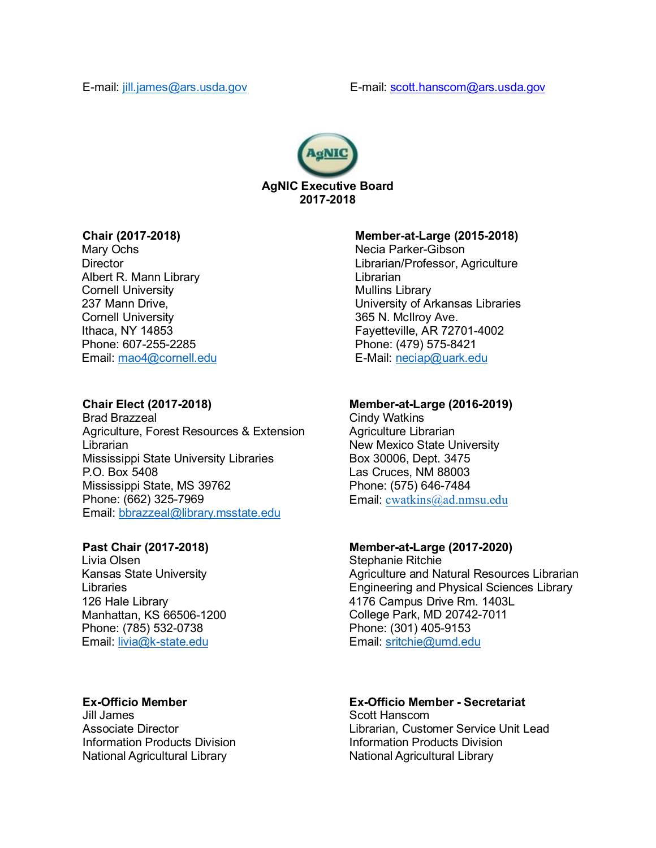

# **Chair (2017-2018)**

Mary Ochs **Director** Albert R. Mann Library Cornell University 237 Mann Drive, Cornell University Ithaca, NY 14853 Phone: 607-255-2285 Email: [mao4@cornell.edu](mailto:mao4@cornell.edu)

# **Chair Elect (2017-2018)**

Brad Brazzeal Agriculture, Forest Resources & Extension Librarian Mississippi State University Libraries P.O. Box 5408 Mississippi State, MS 39762 Phone: (662) 325-7969 Email: [bbrazzeal@library.msstate.edu](mailto:bbrazzeal@library.msstate.edu)

# **Past Chair (2017-2018)**

Livia Olsen Kansas State University Libraries 126 Hale Library Manhattan, KS 66506-1200 Phone: (785) 532-0738 Email: [livia@k-state.edu](mailto:livia@k-state.edu)

# **Ex-Officio Member**

Jill James Associate Director Information Products Division National Agricultural Library

# **Member-at-Large (2015-2018)**

Necia Parker-Gibson Librarian/Professor, Agriculture Librarian Mullins Library University of Arkansas Libraries 365 N. McIlroy Ave. Fayetteville, AR 72701-4002 Phone: (479) 575-8421 E-Mail: [neciap@uark.edu](mailto:neciap@uark.edu)

# **Member-at-Large (2016-2019)**

Cindy Watkins Agriculture Librarian New Mexico State University Box 30006, Dept. 3475 Las Cruces, NM 88003 Phone: (575) 646-7484 Email: [cwatkins@ad.nmsu.edu](mailto:cwatkins@ad.nmsu.edu)

# **Member-at-Large (2017-2020)**

Stephanie Ritchie Agriculture and Natural Resources Librarian Engineering and Physical Sciences Library 4176 Campus Drive Rm. 1403L College Park, MD 20742-7011 Phone: (301) 405-9153 Email: [sritchie@umd.edu](mailto:sritchie@umd.edu)

# **Ex-Officio Member - Secretariat**

Scott Hanscom Librarian, Customer Service Unit Lead Information Products Division National Agricultural Library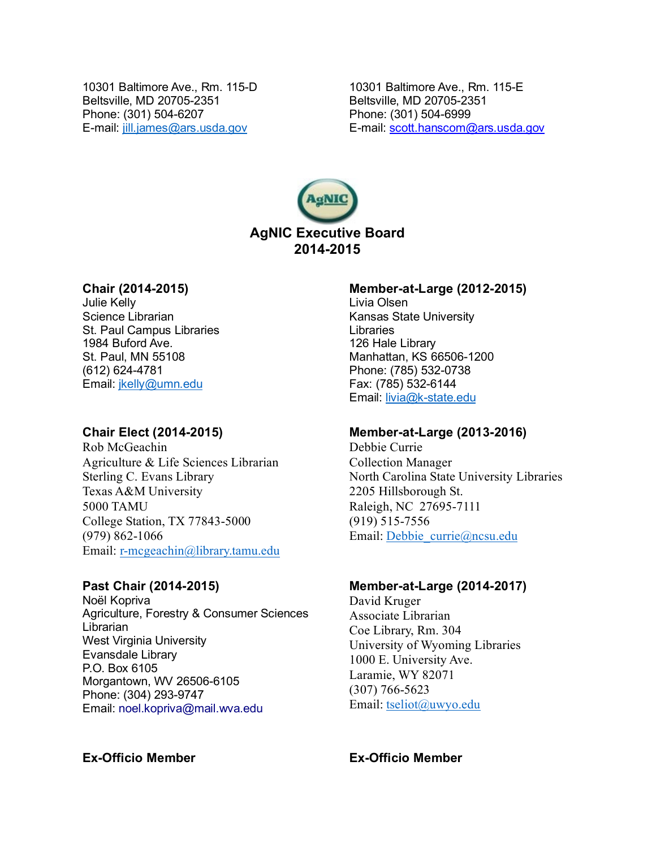10301 Baltimore Ave., Rm. 115-D Beltsville, MD 20705-2351 Phone: (301) 504-6207 E-mail: [jill.james@ars.usda.gov](mailto:jill.james@ars.usda.gov)

10301 Baltimore Ave., Rm. 115-E Beltsville, MD 20705-2351 Phone: (301) 504-6999 E-mail: scott.hanscom@ars.usda.gov



# **Chair (2014-2015)**

Julie Kelly Science Librarian St. Paul Campus Libraries 1984 Buford Ave. St. Paul, MN 55108 (612) 624-4781 Email: [jkelly@umn.edu](mailto:jkelly@umn.edu)

# **Chair Elect (2014-2015)**

Rob McGeachin Agriculture & Life Sciences Librarian Sterling C. Evans Library Texas A&M University 5000 TAMU College Station, TX 77843-5000 (979) 862-1066 Email: [r-mcgeachin@library.tamu.edu](mailto:%20r-mcgeachin@library.tamu.edu)

## **Past Chair (2014-2015)**

Noël Kopriva Agriculture, Forestry & Consumer Sciences Librarian West Virginia University Evansdale Library P.O. Box 6105 Morgantown, WV 26506-6105 Phone: (304) 293-9747 Email: [noel.kopriva@mail.wva.edu](mailto:noel.kopriva@mail.wva.edu)

#### **Member-at-Large (2012-2015)**

Livia Olsen Kansas State University Libraries 126 Hale Library Manhattan, KS 66506-1200 Phone: (785) 532-0738 Fax: (785) 532-6144 Email: [livia@k-state.edu](mailto:livia@k-state.edu)

#### **Member-at-Large (2013-2016)**

Debbie Currie Collection Manager North Carolina State University Libraries 2205 Hillsborough St. Raleigh, NC 27695-7111 (919) 515-7556 Email: [Debbie\\_currie@ncsu.edu](mailto:Debbie_currie@ncsu.edu)

#### **Member-at-Large (2014-2017)**

David Kruger Associate Librarian Coe Library, Rm. 304 University of Wyoming Libraries 1000 E. University Ave. Laramie, WY 82071 (307) 766-5623 Email: [tseliot@uwyo.edu](mailto:tseliot@uwyo.edu)

## **Ex-Officio Member Ex-Officio Member**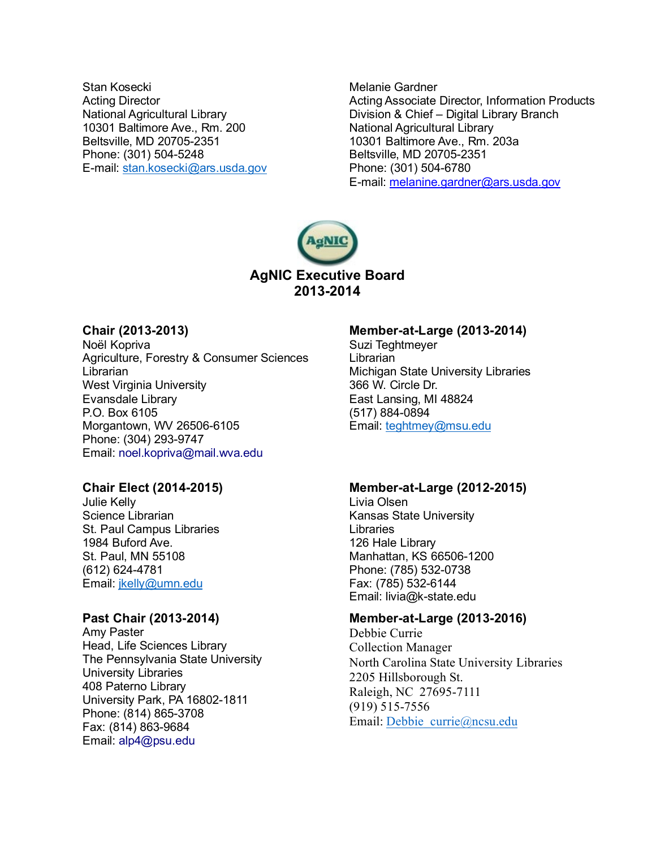Stan Kosecki Acting Director National Agricultural Library 10301 Baltimore Ave., Rm. 200 Beltsville, MD 20705-2351 Phone: (301) 504-5248 E-mail: [stan.kosecki@ars.usda.gov](mailto:stan.kosecki@ars.usda.gov)

Melanie Gardner Acting Associate Director, Information Products Division & Chief – Digital Library Branch National Agricultural Library 10301 Baltimore Ave., Rm. 203a Beltsville, MD 20705-2351 Phone: (301) 504-6780 E-mail: [melanine.gardner@ars.usda.gov](mailto:melanine.gardner@ars.usda.gov)



# **Chair (2013-2013)**

Noël Kopriva Agriculture, Forestry & Consumer Sciences **Librarian** West Virginia University Evansdale Library P.O. Box 6105 Morgantown, WV 26506-6105 Phone: (304) 293-9747 Email: [noel.kopriva@mail.wva.edu](mailto:noel.kopriva@mail.wva.edu)

### **Chair Elect (2014-2015)**

Julie Kelly Science Librarian St. Paul Campus Libraries 1984 Buford Ave. St. Paul, MN 55108 (612) 624-4781 Email: [jkelly@umn.edu](mailto:jkelly@umn.edu)

## **Past Chair (2013-2014)**

Amy Paster Head, Life Sciences Library The Pennsylvania State University University Libraries 408 Paterno Library University Park, PA 16802-1811 Phone: (814) 865-3708 Fax: (814) 863-9684 Email: alp4@psu.edu

#### **Member-at-Large (2013-2014)**

Suzi Teghtmeyer **Librarian** Michigan State University Libraries 366 W. Circle Dr. East Lansing, MI 48824 (517) 884-0894 Email: [teghtmey@msu.edu](mailto:teghtmey@msu.edu)

### **Member-at-Large (2012-2015)**

Livia Olsen Kansas State University **Libraries** 126 Hale Library Manhattan, KS 66506-1200 Phone: (785) 532-0738 Fax: (785) 532-6144 Email: livia@k-state.edu

# **Member-at-Large (2013-2016)**

Debbie Currie Collection Manager North Carolina State University Libraries 2205 Hillsborough St. Raleigh, NC 27695-7111 (919) 515-7556 Email: [Debbie\\_currie@ncsu.edu](mailto:Debbie_currie@ncsu.edu)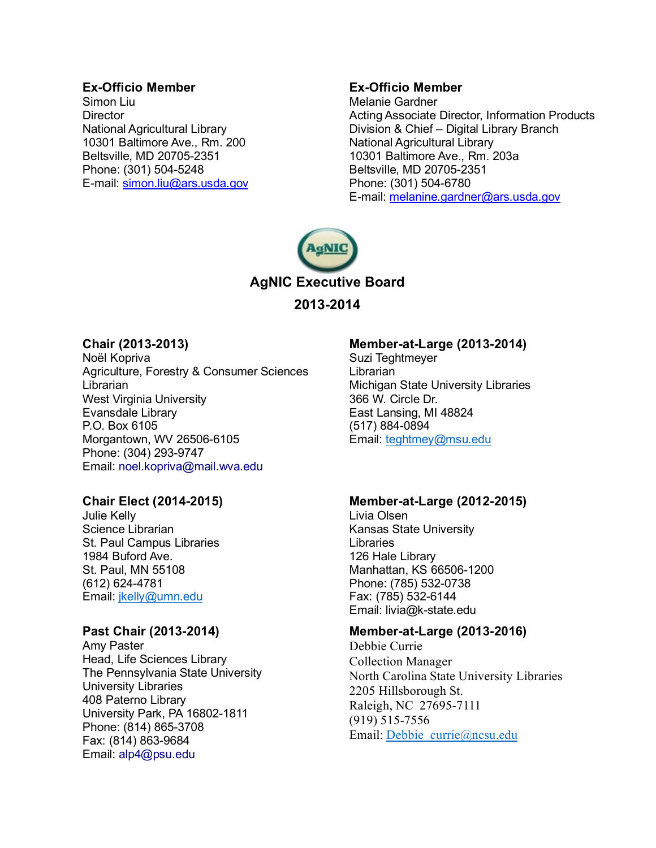# **Ex-Officio Member**

Simon Liu **Director** National Agricultural Library 10301 Baltimore Ave., Rm. 200 Beltsville, MD 20705-2351 Phone: (301) 504-5248 E-mail: [simon.liu@ars.usda.gov](mailto:simon.liu@ars.usda.gov)

# **Ex-Officio Member**

Melanie Gardner Acting Associate Director, Information Products Division & Chief – Digital Library Branch National Agricultural Library 10301 Baltimore Ave., Rm. 203a Beltsville, MD 20705-2351 Phone: (301) 504-6780 E-mail: [melanine.gardner@ars.usda.gov](mailto:melanine.gardner@ars.usda.gov)



# **Chair (2013-2013)**

Noël Kopriva Agriculture, Forestry & Consumer Sciences Librarian West Virginia University Evansdale Library P.O. Box 6105 Morgantown, WV 26506-6105 Phone: (304) 293-9747 Email: [noel.kopriva@mail.wva.edu](mailto:noel.kopriva@mail.wva.edu)

# **Chair Elect (2014-2015)**

Julie Kelly Science Librarian St. Paul Campus Libraries 1984 Buford Ave. St. Paul, MN 55108 (612) 624-4781 Email: *jkelly@umn.edu* 

# **Past Chair (2013-2014)**

Amy Paster Head, Life Sciences Library The Pennsylvania State University University Libraries 408 Paterno Library University Park, PA 16802-1811 Phone: (814) 865-3708 Fax: (814) 863-9684 Email: alp4@psu.edu

# **Member-at-Large (2013-2014)**

Suzi Teghtmeyer **Librarian** Michigan State University Libraries 366 W. Circle Dr. East Lansing, MI 48824 (517) 884-0894 Email: [teghtmey@msu.edu](mailto:teghtmey@msu.edu)

# **Member-at-Large (2012-2015)**

Livia Olsen Kansas State University **Libraries** 126 Hale Library Manhattan, KS 66506-1200 Phone: (785) 532-0738 Fax: (785) 532-6144 Email: livia@k-state.edu

# **Member-at-Large (2013-2016)**

Debbie Currie Collection Manager North Carolina State University Libraries 2205 Hillsborough St. Raleigh, NC 27695-7111 (919) 515-7556 Email: [Debbie\\_currie@ncsu.edu](mailto:Debbie_currie@ncsu.edu)